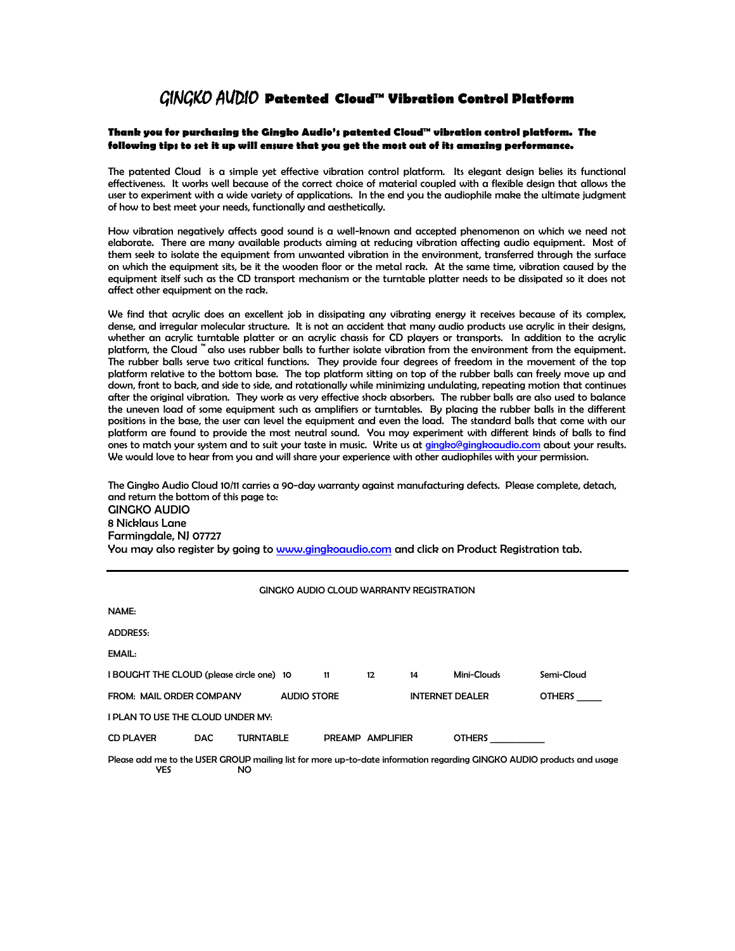# GINGKO AUDIO **Patented Cloud™ Vibration Control Platform**

### **Thank you for purchasing the Gingko Audio's patented Cloud™ vibration control platform. The following tips to set it up will ensure that you get the most out of its amazing performance.**

The patented Cloud is a simple yet effective vibration control platform. Its elegant design belies its functional effectiveness. It works well because of the correct choice of material coupled with a flexible design that allows the user to experiment with a wide variety of applications. In the end you the audiophile make the ultimate judgment of how to best meet your needs, functionally and aesthetically.

How vibration negatively affects good sound is a well-known and accepted phenomenon on which we need not elaborate. There are many available products aiming at reducing vibration affecting audio equipment. Most of them seek to isolate the equipment from unwanted vibration in the environment, transferred through the surface on which the equipment sits, be it the wooden floor or the metal rack. At the same time, vibration caused by the equipment itself such as the CD transport mechanism or the turntable platter needs to be dissipated so it does not affect other equipment on the rack.

We find that acrylic does an excellent job in dissipating any vibrating energy it receives because of its complex, dense, and irregular molecular structure. It is not an accident that many audio products use acrylic in their designs, whether an acrylic turntable platter or an acrylic chassis for CD players or transports. In addition to the acrylic platform, the Cloud ™ also uses rubber balls to further isolate vibration from the environment from the equipment. The rubber balls serve two critical functions. They provide four degrees of freedom in the movement of the top platform relative to the bottom base. The top platform sitting on top of the rubber balls can freely move up and down, front to back, and side to side, and rotationally while minimizing undulating, repeating motion that continues after the original vibration. They work as very effective shock absorbers. The rubber balls are also used to balance the uneven load of some equipment such as amplifiers or turntables. By placing the rubber balls in the different positions in the base, the user can level the equipment and even the load. The standard balls that come with our platform are found to provide the most neutral sound. You may experiment with different kinds of balls to find ones to match your system and to suit your taste in music. Write us at [gingko@gingkoaudio.com](mailto:gingko@gingkoaudio.com) about your results. We would love to hear from you and will share your experience with other audiophiles with your permission.

The Gingko Audio Cloud 10/11 carries a 90-day warranty against manufacturing defects. Please complete, detach, and return the bottom of this page to: GINGKO AUDIO 8 Nicklaus Lane Farmingdale, NJ 07727 You may also register by going to [www.gingkoaudio.com](http://www.gingkoaudio.com/) and click on Product Registration tab.

#### GINGKO AUDIO CLOUD WARRANTY REGISTRATION

| NAME:                                     |            |                  |                    |    |                  |                        |               |               |
|-------------------------------------------|------------|------------------|--------------------|----|------------------|------------------------|---------------|---------------|
| <b>ADDRESS:</b>                           |            |                  |                    |    |                  |                        |               |               |
| EMAIL:                                    |            |                  |                    |    |                  |                        |               |               |
| I BOUGHT THE CLOUD (please circle one) 10 |            |                  |                    | 11 | 12               | 14                     | Mini-Clouds   | Semi-Cloud    |
| FROM: MAIL ORDER COMPANY                  |            |                  | <b>AUDIO STORE</b> |    |                  | <b>INTERNET DEALER</b> |               | <b>OTHERS</b> |
| I PLAN TO USE THE CLOUD UNDER MY:         |            |                  |                    |    |                  |                        |               |               |
| <b>CD PLAYER</b>                          | <b>DAC</b> | <b>TURNTABLE</b> |                    |    | PREAMP AMPLIFIER |                        | <b>OTHERS</b> |               |

Please add me to the USER GROUP mailing list for more up-to-date information regarding GINGKO AUDIO products and usage YES NO